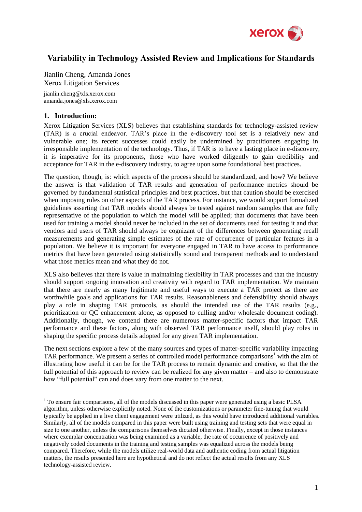

# **Variability in Technology Assisted Review and Implications for Standards**

Jianlin Cheng, Amanda Jones Xerox Litigation Services

jianlin.cheng@xls.xerox.com amanda.jones@xls.xerox.com

## **1. Introduction:**

1

Xerox Litigation Services (XLS) believes that establishing standards for technology-assisted review (TAR) is a crucial endeavor. TAR's place in the e-discovery tool set is a relatively new and vulnerable one; its recent successes could easily be undermined by practitioners engaging in irresponsible implementation of the technology. Thus, if TAR is to have a lasting place in e-discovery, it is imperative for its proponents, those who have worked diligently to gain credibility and acceptance for TAR in the e-discovery industry, to agree upon some foundational best practices.

The question, though, is: which aspects of the process should be standardized, and how? We believe the answer is that validation of TAR results and generation of performance metrics should be governed by fundamental statistical principles and best practices, but that caution should be exercised when imposing rules on other aspects of the TAR process. For instance, we would support formalized guidelines asserting that TAR models should always be tested against random samples that are fully representative of the population to which the model will be applied; that documents that have been used for training a model should never be included in the set of documents used for testing it and that vendors and users of TAR should always be cognizant of the differences between generating recall measurements and generating simple estimates of the rate of occurrence of particular features in a population. We believe it is important for everyone engaged in TAR to have access to performance metrics that have been generated using statistically sound and transparent methods and to understand what those metrics mean and what they do not.

XLS also believes that there is value in maintaining flexibility in TAR processes and that the industry should support ongoing innovation and creativity with regard to TAR implementation. We maintain that there are nearly as many legitimate and useful ways to execute a TAR project as there are worthwhile goals and applications for TAR results. Reasonableness and defensibility should always play a role in shaping TAR protocols, as should the intended use of the TAR results (e.g., prioritization or QC enhancement alone, as opposed to culling and/or wholesale document coding). Additionally, though, we contend there are numerous matter-specific factors that impact TAR performance and these factors, along with observed TAR performance itself, should play roles in shaping the specific process details adopted for any given TAR implementation.

The next sections explore a few of the many sources and types of matter-specific variability impacting TAR performance. We present a series of controlled model performance comparisons<sup>1</sup> with the aim of illustrating how useful it can be for the TAR process to remain dynamic and creative, so that the the full potential of this approach to review can be realized for any given matter – and also to demonstrate how "full potential" can and does vary from one matter to the next.

<sup>&</sup>lt;sup>1</sup> To ensure fair comparisons, all of the models discussed in this paper were generated using a basic PLSA algorithm, unless otherwise explicitly noted. None of the customizations or parameter fine-tuning that would typically be applied in a live client engagement were utilized, as this would have introduced additional variables. Similarly, all of the models compared in this paper were built using training and testing sets that were equal in size to one another, unless the comparisons themselves dictated otherwise. Finally, except in those instances where exemplar concentration was being examined as a variable, the rate of occurrence of positively and negatively coded documents in the training and testing samples was equalized across the models being compared. Therefore, while the models utilize real-world data and authentic coding from actual litigation matters, the results presented here are hypothetical and do not reflect the actual results from any XLS technology-assisted review.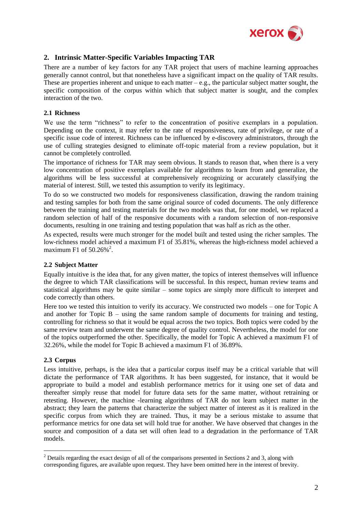

# **2. Intrinsic Matter-Specific Variables Impacting TAR**

There are a number of key factors for any TAR project that users of machine learning approaches generally cannot control, but that nonetheless have a significant impact on the quality of TAR results. These are properties inherent and unique to each matter  $-e.g.,$  the particular subject matter sought, the specific composition of the corpus within which that subject matter is sought, and the complex interaction of the two.

### **2.1 Richness**

We use the term "richness" to refer to the concentration of positive exemplars in a population. Depending on the context, it may refer to the rate of responsiveness, rate of privilege, or rate of a specific issue code of interest. Richness can be influenced by e-discovery administrators, through the use of culling strategies designed to eliminate off-topic material from a review population, but it cannot be completely controlled.

The importance of richness for TAR may seem obvious. It stands to reason that, when there is a very low concentration of positive exemplars available for algorithms to learn from and generalize, the algorithms will be less successful at comprehensively recognizing or accurately classifying the material of interest. Still, we tested this assumption to verify its legitimacy.

To do so we constructed two models for responsiveness classification, drawing the random training and testing samples for both from the same original source of coded documents. The only difference between the training and testing materials for the two models was that, for one model, we replaced a random selection of half of the responsive documents with a random selection of non-responsive documents, resulting in one training and testing population that was half as rich as the other.

As expected, results were much stronger for the model built and tested using the richer samples. The low-richness model achieved a maximum F1 of 35.81%, whereas the high-richness model achieved a maximum F1 of  $50.26\%$ <sup>2</sup>.

### **2.2 Subject Matter**

Equally intuitive is the idea that, for any given matter, the topics of interest themselves will influence the degree to which TAR classifications will be successful. In this respect, human review teams and statistical algorithms may be quite similar – some topics are simply more difficult to interpret and code correctly than others.

Here too we tested this intuition to verify its accuracy. We constructed two models – one for Topic A and another for Topic B – using the same random sample of documents for training and testing, controlling for richness so that it would be equal across the two topics. Both topics were coded by the same review team and underwent the same degree of quality control. Nevertheless, the model for one of the topics outperformed the other. Specifically, the model for Topic A achieved a maximum F1 of 32.26%, while the model for Topic B achieved a maximum F1 of 36.89%.

### **2.3 Corpus**

1

Less intuitive, perhaps, is the idea that a particular corpus itself may be a critical variable that will dictate the performance of TAR algorithms. It has been suggested, for instance, that it would be appropriate to build a model and establish performance metrics for it using one set of data and thereafter simply reuse that model for future data sets for the same matter, without retraining or retesting. However, the machine -learning algorithms of TAR do not learn subject matter in the abstract; they learn the patterns that characterize the subject matter of interest as it is realized in the specific corpus from which they are trained. Thus, it may be a serious mistake to assume that performance metrics for one data set will hold true for another. We have observed that changes in the source and composition of a data set will often lead to a degradation in the performance of TAR models.

<sup>2</sup> Details regarding the exact design of all of the comparisons presented in Sections 2 and 3, along with corresponding figures, are available upon request. They have been omitted here in the interest of brevity.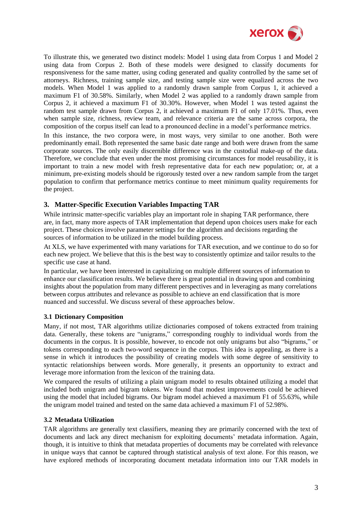

To illustrate this, we generated two distinct models: Model 1 using data from Corpus 1 and Model 2 using data from Corpus 2. Both of these models were designed to classify documents for responsiveness for the same matter, using coding generated and quality controlled by the same set of attorneys. Richness, training sample size, and testing sample size were equalized across the two models. When Model 1 was applied to a randomly drawn sample from Corpus 1, it achieved a maximum F1 of 30.58%. Similarly, when Model 2 was applied to a randomly drawn sample from Corpus 2, it achieved a maximum F1 of 30.30%. However, when Model 1 was tested against the random test sample drawn from Corpus 2, it achieved a maximum F1 of only 17.01%. Thus, even when sample size, richness, review team, and relevance criteria are the same across corpora, the composition of the corpus itself can lead to a pronounced decline in a model's performance metrics.

In this instance, the two corpora were, in most ways, very similar to one another. Both were predominantly email. Both represented the same basic date range and both were drawn from the same corporate sources. The only easily discernible difference was in the custodial make-up of the data. Therefore, we conclude that even under the most promising circumstances for model reusability, it is important to train a new model with fresh representative data for each new population; or, at a minimum, pre-existing models should be rigorously tested over a new random sample from the target population to confirm that performance metrics continue to meet minimum quality requirements for the project.

# **3. Matter-Specific Execution Variables Impacting TAR**

While intrinsic matter-specific variables play an important role in shaping TAR performance, there are, in fact, many more aspects of TAR implementation that depend upon choices users make for each project. These choices involve parameter settings for the algorithm and decisions regarding the sources of information to be utilized in the model building process.

At XLS, we have experimented with many variations for TAR execution, and we continue to do so for each new project. We believe that this is the best way to consistently optimize and tailor results to the specific use case at hand.

In particular, we have been interested in capitalizing on multiple different sources of information to enhance our classification results. We believe there is great potential in drawing upon and combining insights about the population from many different perspectives and in leveraging as many correlations between corpus attributes and relevance as possible to achieve an end classification that is more nuanced and successful. We discuss several of these approaches below.

### **3.1 Dictionary Composition**

Many, if not most, TAR algorithms utilize dictionaries composed of tokens extracted from training data. Generally, these tokens are "unigrams," corresponding roughly to individual words from the documents in the corpus. It is possible, however, to encode not only unigrams but also "bigrams," or tokens corresponding to each two-word sequence in the corpus. This idea is appealing, as there is a sense in which it introduces the possibility of creating models with some degree of sensitivity to syntactic relationships between words. More generally, it presents an opportunity to extract and leverage more information from the lexicon of the training data.

We compared the results of utilizing a plain unigram model to results obtained utilizing a model that included both unigram and bigram tokens. We found that modest improvements could be achieved using the model that included bigrams. Our bigram model achieved a maximum F1 of 55.63%, while the unigram model trained and tested on the same data achieved a maximum F1 of 52.98%.

### **3.2 Metadata Utilization**

TAR algorithms are generally text classifiers, meaning they are primarily concerned with the text of documents and lack any direct mechanism for exploiting documents' metadata information. Again, though, it is intuitive to think that metadata properties of documents may be correlated with relevance in unique ways that cannot be captured through statistical analysis of text alone. For this reason, we have explored methods of incorporating document metadata information into our TAR models in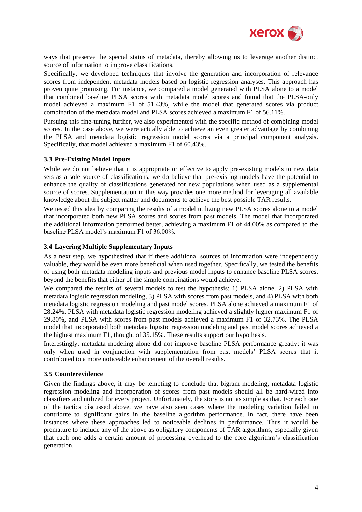

ways that preserve the special status of metadata, thereby allowing us to leverage another distinct source of information to improve classifications.

Specifically, we developed techniques that involve the generation and incorporation of relevance scores from independent metadata models based on logistic regression analyses. This approach has proven quite promising. For instance, we compared a model generated with PLSA alone to a model that combined baseline PLSA scores with metadata model scores and found that the PLSA-only model achieved a maximum F1 of 51.43%, while the model that generated scores via product combination of the metadata model and PLSA scores achieved a maximum F1 of 56.11%.

Pursuing this fine-tuning further, we also experimented with the specific method of combining model scores. In the case above, we were actually able to achieve an even greater advantage by combining the PLSA and metadata logistic regression model scores via a principal component analysis. Specifically, that model achieved a maximum F1 of 60.43%.

### **3.3 Pre-Existing Model Inputs**

While we do not believe that it is appropriate or effective to apply pre-existing models to new data sets as a sole source of classifications, we do believe that pre-existing models have the potential to enhance the quality of classifications generated for new populations when used as a supplemental source of scores. Supplementation in this way provides one more method for leveraging all available knowledge about the subject matter and documents to achieve the best possible TAR results.

We tested this idea by comparing the results of a model utilizing new PLSA scores alone to a model that incorporated both new PLSA scores and scores from past models. The model that incorporated the additional information performed better, achieving a maximum F1 of 44.00% as compared to the baseline PLSA model's maximum F1 of 36.00%.

#### **3.4 Layering Multiple Supplementary Inputs**

As a next step, we hypothesized that if these additional sources of information were independently valuable, they would be even more beneficial when used together. Specifically, we tested the benefits of using both metadata modeling inputs and previous model inputs to enhance baseline PLSA scores, beyond the benefits that either of the simple combinations would achieve.

We compared the results of several models to test the hypothesis: 1) PLSA alone, 2) PLSA with metadata logistic regression modeling, 3) PLSA with scores from past models, and 4) PLSA with both metadata logistic regression modeling and past model scores. PLSA alone achieved a maximum F1 of 28.24%. PLSA with metadata logistic regression modeling achieved a slightly higher maximum F1 of 29.80%, and PLSA with scores from past models achieved a maximum F1 of 32.73%. The PLSA model that incorporated both metadata logistic regression modeling and past model scores achieved a the highest maximum F1, though, of 35.15%. These results support our hypothesis.

Interestingly, metadata modeling alone did not improve baseline PLSA performance greatly; it was only when used in conjunction with supplementation from past models' PLSA scores that it contributed to a more noticeable enhancement of the overall results.

#### **3.5 Counterevidence**

Given the findings above, it may be tempting to conclude that bigram modeling, metadata logistic regression modeling and incorporation of scores from past models should all be hard-wired into classifiers and utilized for every project. Unfortunately, the story is not as simple as that. For each one of the tactics discussed above, we have also seen cases where the modeling variation failed to contribute to significant gains in the baseline algorithm performance. In fact, there have been instances where these approaches led to noticeable declines in performance. Thus it would be premature to include any of the above as obligatory components of TAR algorithms, especially given that each one adds a certain amount of processing overhead to the core algorithm's classification generation.